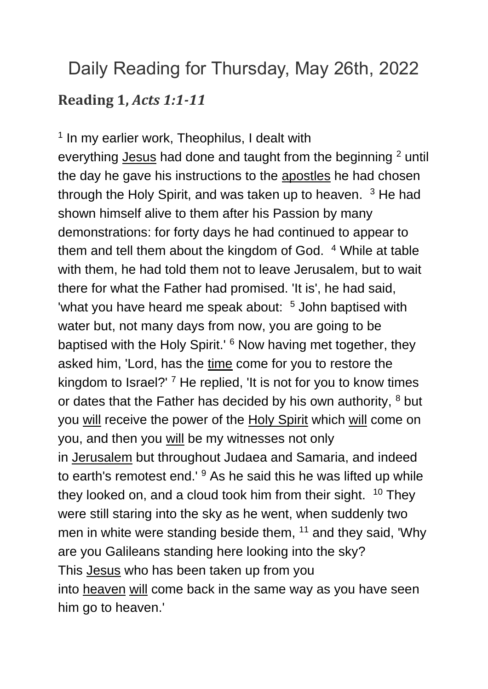## Daily Reading for Thursday, May 26th, 2022 **Reading 1,** *Acts 1:1-11*

<sup>1</sup> In my earlier work, Theophilus, I dealt with everything [Jesus](https://www.catholic.org/clife/jesus) had done and taught from the beginning <sup>2</sup> until the day he gave his instructions to the [apostles](https://www.catholic.org/encyclopedia/view.php?id=933) he had chosen through the Holy Spirit, and was taken up to heaven.  $3$  He had shown himself alive to them after his Passion by many demonstrations: for forty days he had continued to appear to them and tell them about the kingdom of God. <sup>4</sup> While at table with them, he had told them not to leave Jerusalem, but to wait there for what the Father had promised. 'It is', he had said, 'what you have heard me speak about: <sup>5</sup> John baptised with water but, not many days from now, you are going to be baptised with the Holy Spirit.' <sup>6</sup> Now having met together, they asked him, 'Lord, has the [time](https://www.catholic.org/encyclopedia/view.php?id=11571) come for you to restore the kingdom to Israel?<sup>'</sup> 7 He replied, 'It is not for you to know times or dates that the Father has decided by his own authority, <sup>8</sup> but you [will](https://www.catholic.org/encyclopedia/view.php?id=12332) receive the power of the [Holy Spirit](https://www.catholic.org/encyclopedia/view.php?id=5854) which [will](https://www.catholic.org/encyclopedia/view.php?id=12332) come on you, and then you [will](https://www.catholic.org/encyclopedia/view.php?id=12332) be my witnesses not only in [Jerusalem](https://www.catholic.org/encyclopedia/view.php?id=6304) but throughout Judaea and Samaria, and indeed to earth's remotest end.' <sup>9</sup> As he said this he was lifted up while they looked on, and a cloud took him from their sight. <sup>10</sup> They were still staring into the sky as he went, when suddenly two men in white were standing beside them, <sup>11</sup> and they said, 'Why are you Galileans standing here looking into the sky? This [Jesus](https://www.catholic.org/clife/jesus) who has been taken up from you into [heaven](https://www.catholic.org/encyclopedia/view.php?id=5593) [will](https://www.catholic.org/encyclopedia/view.php?id=12332) come back in the same way as you have seen him go to heaven.'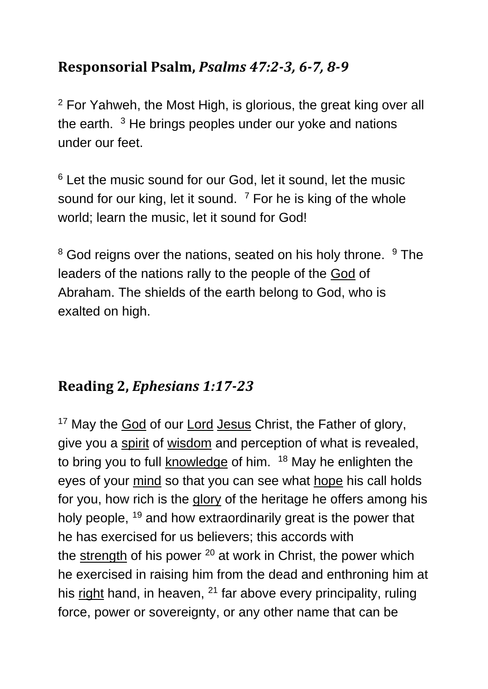## **Responsorial Psalm,** *Psalms 47:2-3, 6-7, 8-9*

<sup>2</sup> For Yahweh, the Most High, is glorious, the great king over all the earth.  $3$  He brings peoples under our yoke and nations under our feet.

<sup>6</sup> Let the music sound for our God, let it sound, let the music sound for our king, let it sound.  $7$  For he is king of the whole world; learn the music, let it sound for God!

 $8$  God reigns over the nations, seated on his holy throne.  $9$  The leaders of the nations rally to the people of the [God](https://www.catholic.org/encyclopedia/view.php?id=5217) of Abraham. The shields of the earth belong to God, who is exalted on high.

## **Reading 2,** *Ephesians 1:17-23*

<sup>17</sup> May the [God](https://www.catholic.org/encyclopedia/view.php?id=5217) of our [Lord](https://www.catholic.org/encyclopedia/view.php?id=5217) [Jesus](https://www.catholic.org/clife/jesus) Christ, the Father of glory, give you a [spirit](https://www.catholic.org/encyclopedia/view.php?id=11004) of [wisdom](https://www.catholic.org/bible/book.php?id=27) and perception of what is revealed, to bring you to full **[knowledge](https://www.catholic.org/encyclopedia/view.php?id=6682)** of him. <sup>18</sup> May he enlighten the eyes of your [mind](https://www.catholic.org/encyclopedia/view.php?id=8001) so that you can see what [hope](https://www.catholic.org/encyclopedia/view.php?id=5889) his call holds for you, how rich is the [glory](https://www.catholic.org/encyclopedia/view.php?id=5201) of the heritage he offers among his holy people, <sup>19</sup> and how extraordinarily great is the power that he has exercised for us believers; this accords with the [strength](https://www.catholic.org/prayers/prayer.php?p=2917) of his power  $20$  at work in Christ, the power which he exercised in raising him from the dead and enthroning him at his [right](https://www.catholic.org/encyclopedia/view.php?id=10046) hand, in heaven,  $21$  far above every principality, ruling force, power or sovereignty, or any other name that can be